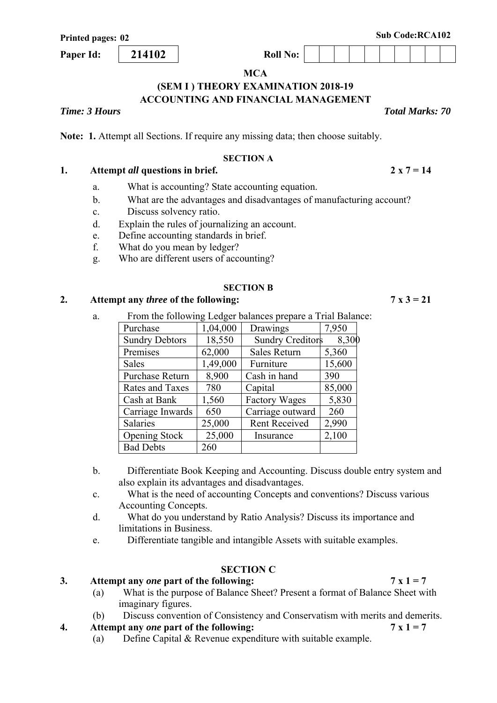**Paper Id:** 214102 **Roll** No:

# **(SEM I ) THEORY EXAMINATION 2018-19 ACCOUNTING AND FINANCIAL MANAGEMENT**

*Time: 3 Hours Total Marks: 70*

**Note: 1.** Attempt all Sections. If require any missing data; then choose suitably.

#### **SECTION A**

## 1. Attempt *all* questions in brief. 2 x  $7 = 14$

- a. What is accounting? State accounting equation.
- b. What are the advantages and disadvantages of manufacturing account?
- c. Discuss solvency ratio.
- d. Explain the rules of journalizing an account.
- e. Define accounting standards in brief.
- f. What do you mean by ledger?
- g. Who are different users of accounting?

#### **SECTION B**

# 2. Attempt any *three* of the following:  $7 \times 3 = 21$

a. From the following Ledger balances prepare a Trial Balance:

| $\frac{1}{2}$ and $\frac{1}{2}$ and $\frac{1}{2}$ and $\frac{1}{2}$ and $\frac{1}{2}$ and $\frac{1}{2}$ and $\frac{1}{2}$ and $\frac{1}{2}$ and $\frac{1}{2}$ and $\frac{1}{2}$ and $\frac{1}{2}$ and $\frac{1}{2}$ and $\frac{1}{2}$ and $\frac{1}{2}$ and $\frac{1}{2}$ and $\frac{1}{2}$ a<br>unter prepare a Than Bana |          |                         |        |  |
|----------------------------------------------------------------------------------------------------------------------------------------------------------------------------------------------------------------------------------------------------------------------------------------------------------------------------|----------|-------------------------|--------|--|
| Purchase                                                                                                                                                                                                                                                                                                                   | 1,04,000 | Drawings                | 7,950  |  |
| <b>Sundry Debtors</b>                                                                                                                                                                                                                                                                                                      | 18,550   | <b>Sundry Creditors</b> | 8,300  |  |
| Premises                                                                                                                                                                                                                                                                                                                   | 62,000   | Sales Return            | 5,360  |  |
| Sales                                                                                                                                                                                                                                                                                                                      | 1,49,000 | Furniture               | 15,600 |  |
| Purchase Return                                                                                                                                                                                                                                                                                                            | 8,900    | Cash in hand            | 390    |  |
| <b>Rates and Taxes</b>                                                                                                                                                                                                                                                                                                     | 780      | Capital                 | 85,000 |  |
| Cash at Bank                                                                                                                                                                                                                                                                                                               | 1,560    | <b>Factory Wages</b>    | 5,830  |  |
| Carriage Inwards                                                                                                                                                                                                                                                                                                           | 650      | Carriage outward        | 260    |  |
| Salaries                                                                                                                                                                                                                                                                                                                   | 25,000   | <b>Rent Received</b>    | 2,990  |  |
| <b>Opening Stock</b>                                                                                                                                                                                                                                                                                                       | 25,000   | Insurance               | 2,100  |  |
| <b>Bad Debts</b>                                                                                                                                                                                                                                                                                                           | 260      |                         |        |  |

- b. Differentiate Book Keeping and Accounting. Discuss double entry system and also explain its advantages and disadvantages.
- c. What is the need of accounting Concepts and conventions? Discuss various Accounting Concepts.
- d. What do you understand by Ratio Analysis? Discuss its importance and limitations in Business.
- e. Differentiate tangible and intangible Assets with suitable examples.

# **SECTION C**

#### 3. Attempt any *one* part of the following:  $7 \times 1 = 7$

- (a) What is the purpose of Balance Sheet? Present a format of Balance Sheet with imaginary figures.
- (b) Discuss convention of Consistency and Conservatism with merits and demerits.

# **4.** Attempt any *one* part of the following:  $7 \times 1 = 7$

(a) Define Capital & Revenue expenditure with suitable example.

**MCA**